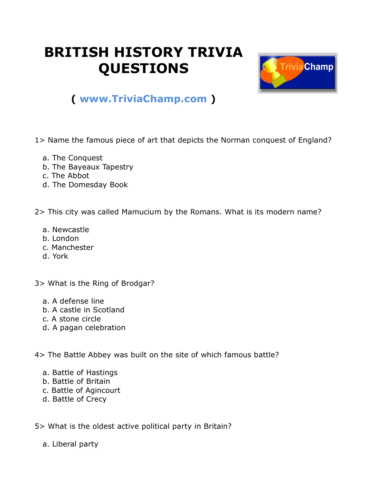## **BRITISH HISTORY TRIVIA QUESTIONS**



## **( [www.TriviaChamp.com](http://www.triviachamp.com/) )**

1> Name the famous piece of art that depicts the Norman conquest of England?

- a. The Conquest
- b. The Bayeaux Tapestry
- c. The Abbot
- d. The Domesday Book

2> This city was called Mamucium by the Romans. What is its modern name?

- a. Newcastle
- b. London
- c. Manchester
- d. York

3> What is the Ring of Brodgar?

- a. A defense line
- b. A castle in Scotland
- c. A stone circle
- d. A pagan celebration

4> The Battle Abbey was built on the site of which famous battle?

- a. Battle of Hastings
- b. Battle of Britain
- c. Battle of Agincourt
- d. Battle of Crecy

5> What is the oldest active political party in Britain?

a. Liberal party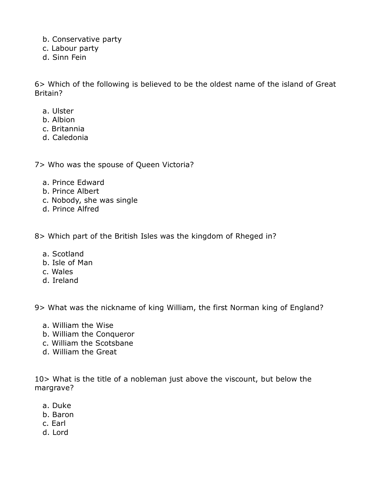- b. Conservative party
- c. Labour party
- d. Sinn Fein

6> Which of the following is believed to be the oldest name of the island of Great Britain?

- a. Ulster
- b. Albion
- c. Britannia
- d. Caledonia

7> Who was the spouse of Queen Victoria?

- a. Prince Edward
- b. Prince Albert
- c. Nobody, she was single
- d. Prince Alfred

8> Which part of the British Isles was the kingdom of Rheged in?

- a. Scotland
- b. Isle of Man
- c. Wales
- d. Ireland

9> What was the nickname of king William, the first Norman king of England?

- a. William the Wise
- b. William the Conqueror
- c. William the Scotsbane
- d. William the Great

10> What is the title of a nobleman just above the viscount, but below the margrave?

- a. Duke
- b. Baron
- c. Earl
- d. Lord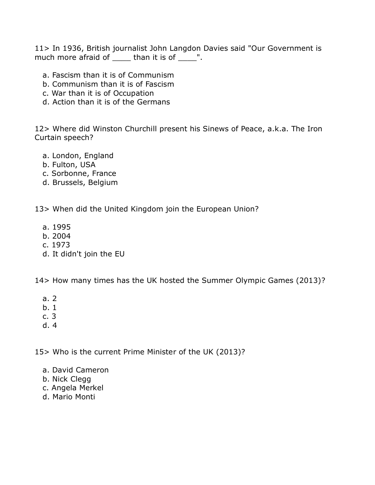11> In 1936, British journalist John Langdon Davies said "Our Government is much more afraid of than it is of ".

- a. Fascism than it is of Communism
- b. Communism than it is of Fascism
- c. War than it is of Occupation
- d. Action than it is of the Germans

12> Where did Winston Churchill present his Sinews of Peace, a.k.a. The Iron Curtain speech?

- a. London, England
- b. Fulton, USA
- c. Sorbonne, France
- d. Brussels, Belgium

13> When did the United Kingdom join the European Union?

- a. 1995
- b. 2004
- c. 1973
- d. It didn't join the EU

14> How many times has the UK hosted the Summer Olympic Games (2013)?

- a. 2
- b. 1
- c. 3
- d. 4

15> Who is the current Prime Minister of the UK (2013)?

- a. David Cameron
- b. Nick Clegg
- c. Angela Merkel
- d. Mario Monti